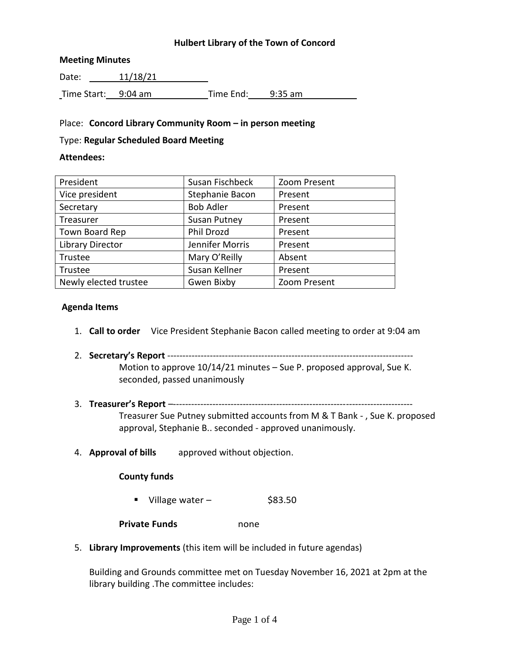# **Hulbert Library of the Town of Concord**

## **Meeting Minutes**

Date: 11/18/21 Time Start: 9:04 am Time End: 9:35 am

# Place: **Concord Library Community Room – in person meeting**

#### Type: **Regular Scheduled Board Meeting**

## **Attendees:**

| President               | Susan Fischbeck     | Zoom Present |
|-------------------------|---------------------|--------------|
| Vice president          | Stephanie Bacon     | Present      |
| Secretary               | <b>Bob Adler</b>    | Present      |
| Treasurer               | <b>Susan Putney</b> | Present      |
| Town Board Rep          | Phil Drozd          | Present      |
| <b>Library Director</b> | Jennifer Morris     | Present      |
| Trustee                 | Mary O'Reilly       | Absent       |
| Trustee                 | Susan Kellner       | Present      |
| Newly elected trustee   | Gwen Bixby          | Zoom Present |

## **Agenda Items**

- 1. **Call to order** Vice President Stephanie Bacon called meeting to order at 9:04 am
- 2. **Secretary's Report** --------------------------------------------------------------------------------- Motion to approve 10/14/21 minutes – Sue P. proposed approval, Sue K. seconded, passed unanimously
- 3. **Treasurer's Report** –-------------------------------------------------------------------------------

Treasurer Sue Putney submitted accounts from M & T Bank - , Sue K. proposed approval, Stephanie B.. seconded - approved unanimously.

4. **Approval of bills** approved without objection.

# **County funds**

- Village water  $$83.50$
- **Private Funds** none
- 5. **Library Improvements** (this item will be included in future agendas)

Building and Grounds committee met on Tuesday November 16, 2021 at 2pm at the library building .The committee includes: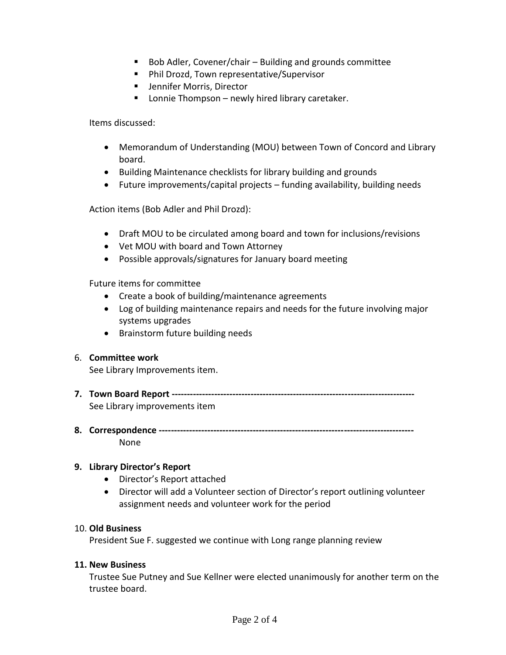- Bob Adler, Covener/chair Building and grounds committee
- Phil Drozd, Town representative/Supervisor
- **Jennifer Morris, Director**
- Lonnie Thompson newly hired library caretaker.

Items discussed:

- Memorandum of Understanding (MOU) between Town of Concord and Library board.
- Building Maintenance checklists for library building and grounds
- Future improvements/capital projects funding availability, building needs

Action items (Bob Adler and Phil Drozd):

- Draft MOU to be circulated among board and town for inclusions/revisions
- Vet MOU with board and Town Attorney
- Possible approvals/signatures for January board meeting

Future items for committee

- Create a book of building/maintenance agreements
- Log of building maintenance repairs and needs for the future involving major systems upgrades
- Brainstorm future building needs

#### 6. **Committee work**

See Library Improvements item.

- **7. Town Board Report --------------------------------------------------------------------------------** See Library improvements item
- **8. Correspondence ------------------------------------------------------------------------------------** None

# **9. Library Director's Report**

- Director's Report attached
- Director will add a Volunteer section of Director's report outlining volunteer assignment needs and volunteer work for the period

#### 10. **Old Business**

President Sue F. suggested we continue with Long range planning review

#### **11. New Business**

Trustee Sue Putney and Sue Kellner were elected unanimously for another term on the trustee board.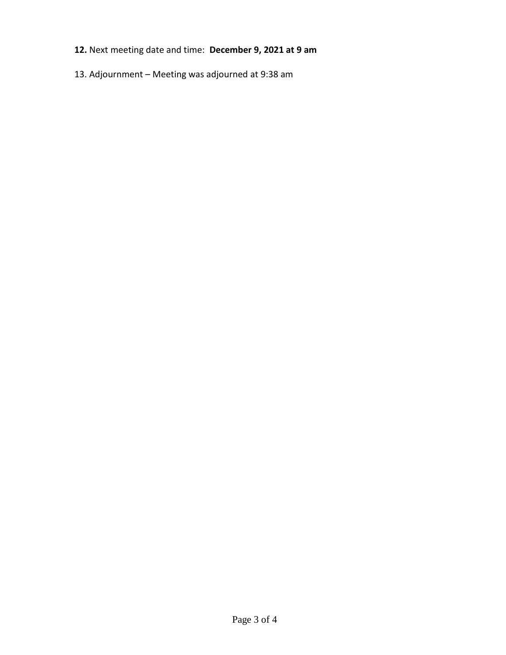- **12.** Next meeting date and time: **December 9, 2021 at 9 am**
- 13. Adjournment Meeting was adjourned at 9:38 am